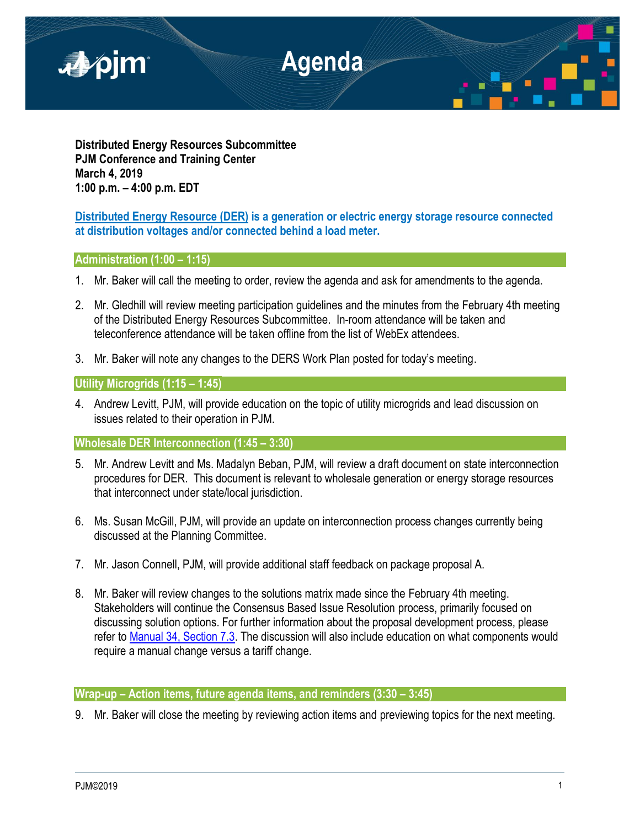

**Distributed Energy Resources Subcommittee PJM Conference and Training Center March 4, 2019 1:00 p.m. – 4:00 p.m. EDT**

# **Distributed Energy Resource (DER) is a generation or electric energy storage resource connected at distribution voltages and/or connected behind a load meter.**

# **Administration (1:00 – 1:15)**

- 1. Mr. Baker will call the meeting to order, review the agenda and ask for amendments to the agenda.
- 2. Mr. Gledhill will review meeting participation guidelines and the minutes from the February 4th meeting of the Distributed Energy Resources Subcommittee. In-room attendance will be taken and teleconference attendance will be taken offline from the list of WebEx attendees.
- 3. Mr. Baker will note any changes to the DERS Work Plan posted for today's meeting.

## **Utility Microgrids (1:15 – 1:45)**

4. Andrew Levitt, PJM, will provide education on the topic of utility microgrids and lead discussion on issues related to their operation in PJM.

## **Wholesale DER Interconnection (1:45 – 3:30)**

- 5. Mr. Andrew Levitt and Ms. Madalyn Beban, PJM, will review a draft document on state interconnection procedures for DER. This document is relevant to wholesale generation or energy storage resources that interconnect under state/local jurisdiction.
- 6. Ms. Susan McGill, PJM, will provide an update on interconnection process changes currently being discussed at the Planning Committee.
- 7. Mr. Jason Connell, PJM, will provide additional staff feedback on package proposal A.
- 8. Mr. Baker will review changes to the solutions matrix made since the February 4th meeting. Stakeholders will continue the Consensus Based Issue Resolution process, primarily focused on discussing solution options. For further information about the proposal development process, please refer to [Manual 34, Section 7.3.](https://www.pjm.com/-/media/documents/manuals/m34.ashx) The discussion will also include education on what components would require a manual change versus a tariff change.

## **Wrap-up – Action items, future agenda items, and reminders (3:30 – 3:45)**

9. Mr. Baker will close the meeting by reviewing action items and previewing topics for the next meeting.